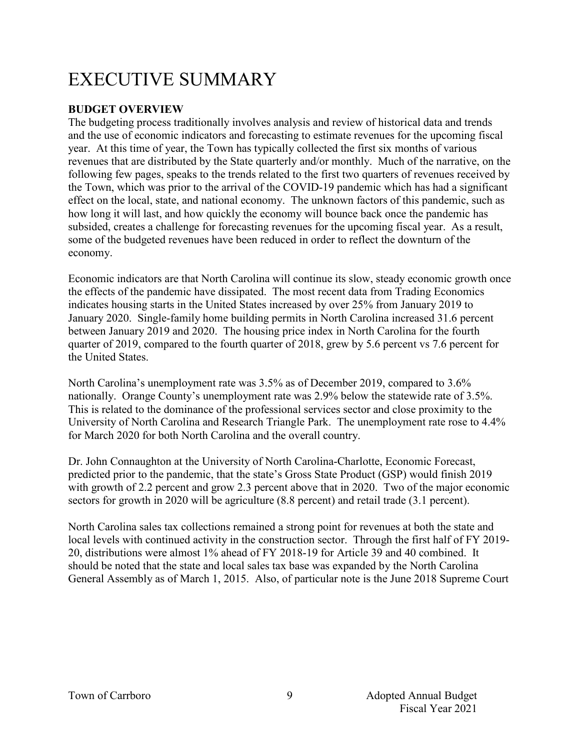# EXECUTIVE SUMMARY

# **BUDGET OVERVIEW**

The budgeting process traditionally involves analysis and review of historical data and trends and the use of economic indicators and forecasting to estimate revenues for the upcoming fiscal year. At this time of year, the Town has typically collected the first six months of various revenues that are distributed by the State quarterly and/or monthly. Much of the narrative, on the following few pages, speaks to the trends related to the first two quarters of revenues received by the Town, which was prior to the arrival of the COVID-19 pandemic which has had a significant effect on the local, state, and national economy. The unknown factors of this pandemic, such as how long it will last, and how quickly the economy will bounce back once the pandemic has subsided, creates a challenge for forecasting revenues for the upcoming fiscal year. As a result, some of the budgeted revenues have been reduced in order to reflect the downturn of the economy.

Economic indicators are that North Carolina will continue its slow, steady economic growth once the effects of the pandemic have dissipated. The most recent data from Trading Economics indicates housing starts in the United States increased by over 25% from January 2019 to January 2020. Single-family home building permits in North Carolina increased 31.6 percent between January 2019 and 2020. The housing price index in North Carolina for the fourth quarter of 2019, compared to the fourth quarter of 2018, grew by 5.6 percent vs 7.6 percent for the United States.

North Carolina's unemployment rate was 3.5% as of December 2019, compared to 3.6% nationally. Orange County's unemployment rate was 2.9% below the statewide rate of 3.5%. This is related to the dominance of the professional services sector and close proximity to the University of North Carolina and Research Triangle Park. The unemployment rate rose to 4.4% for March 2020 for both North Carolina and the overall country.

Dr. John Connaughton at the University of North Carolina-Charlotte, Economic Forecast, predicted prior to the pandemic, that the state's Gross State Product (GSP) would finish 2019 with growth of 2.2 percent and grow 2.3 percent above that in 2020. Two of the major economic sectors for growth in 2020 will be agriculture (8.8 percent) and retail trade (3.1 percent).

North Carolina sales tax collections remained a strong point for revenues at both the state and local levels with continued activity in the construction sector. Through the first half of FY 2019- 20, distributions were almost 1% ahead of FY 2018-19 for Article 39 and 40 combined. It should be noted that the state and local sales tax base was expanded by the North Carolina General Assembly as of March 1, 2015. Also, of particular note is the June 2018 Supreme Court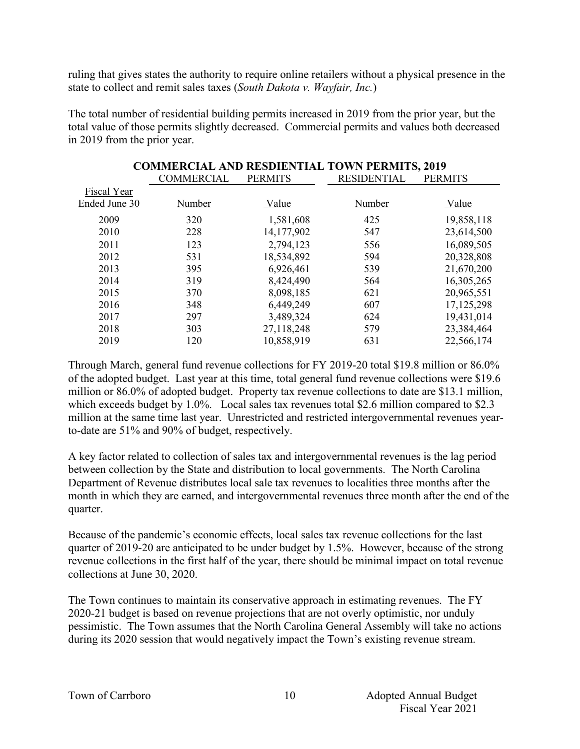ruling that gives states the authority to require online retailers without a physical presence in the state to collect and remit sales taxes (*South Dakota v. Wayfair, Inc.*)

The total number of residential building permits increased in 2019 from the prior year, but the total value of those permits slightly decreased. Commercial permits and values both decreased in 2019 from the prior year.

**COMMERCIAL AND RESDIENTIAL TOWN PERMITS, 2019**

| COMMERCIAL AND RESDIENTIAL TOWN PERMITS, 2019 |                   |                |                    |                |  |  |  |
|-----------------------------------------------|-------------------|----------------|--------------------|----------------|--|--|--|
|                                               | <b>COMMERCIAL</b> | <b>PERMITS</b> | <b>RESIDENTIAL</b> | <b>PERMITS</b> |  |  |  |
| Fiscal Year                                   |                   |                |                    |                |  |  |  |
| Ended June 30                                 | Number            | Value          | Number             | Value          |  |  |  |
| 2009                                          | 320               | 1,581,608      | 425                | 19,858,118     |  |  |  |
| 2010                                          | 228               | 14, 177, 902   | 547                | 23,614,500     |  |  |  |
| 2011                                          | 123               | 2,794,123      | 556                | 16,089,505     |  |  |  |
| 2012                                          | 531               | 18,534,892     | 594                | 20,328,808     |  |  |  |
| 2013                                          | 395               | 6,926,461      | 539                | 21,670,200     |  |  |  |
| 2014                                          | 319               | 8,424,490      | 564                | 16,305,265     |  |  |  |
| 2015                                          | 370               | 8,098,185      | 621                | 20,965,551     |  |  |  |
| 2016                                          | 348               | 6,449,249      | 607                | 17, 125, 298   |  |  |  |
| 2017                                          | 297               | 3,489,324      | 624                | 19,431,014     |  |  |  |
| 2018                                          | 303               | 27,118,248     | 579                | 23,384,464     |  |  |  |
| 2019                                          | 120               | 10,858,919     | 631                | 22,566,174     |  |  |  |

Through March, general fund revenue collections for FY 2019-20 total \$19.8 million or 86.0% of the adopted budget. Last year at this time, total general fund revenue collections were \$19.6 million or 86.0% of adopted budget. Property tax revenue collections to date are \$13.1 million, which exceeds budget by 1.0%. Local sales tax revenues total \$2.6 million compared to \$2.3 million at the same time last year. Unrestricted and restricted intergovernmental revenues yearto-date are 51% and 90% of budget, respectively.

A key factor related to collection of sales tax and intergovernmental revenues is the lag period between collection by the State and distribution to local governments. The North Carolina Department of Revenue distributes local sale tax revenues to localities three months after the month in which they are earned, and intergovernmental revenues three month after the end of the quarter.

Because of the pandemic's economic effects, local sales tax revenue collections for the last quarter of 2019-20 are anticipated to be under budget by 1.5%. However, because of the strong revenue collections in the first half of the year, there should be minimal impact on total revenue collections at June 30, 2020.

The Town continues to maintain its conservative approach in estimating revenues. The FY 2020-21 budget is based on revenue projections that are not overly optimistic, nor unduly pessimistic. The Town assumes that the North Carolina General Assembly will take no actions during its 2020 session that would negatively impact the Town's existing revenue stream.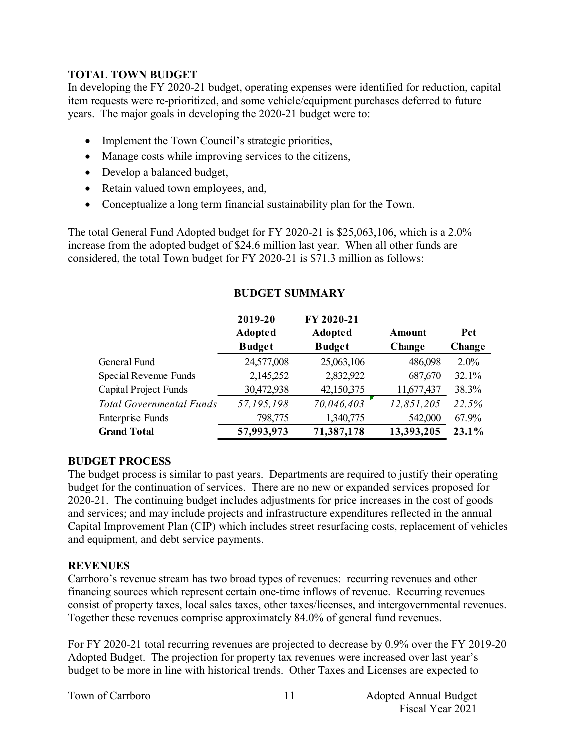# **TOTAL TOWN BUDGET**

In developing the FY 2020-21 budget, operating expenses were identified for reduction, capital item requests were re-prioritized, and some vehicle/equipment purchases deferred to future years. The major goals in developing the 2020-21 budget were to:

- Implement the Town Council's strategic priorities,
- Manage costs while improving services to the citizens,
- Develop a balanced budget,
- Retain valued town employees, and,
- Conceptualize a long term financial sustainability plan for the Town.

The total General Fund Adopted budget for FY 2020-21 is \$25,063,106, which is a 2.0% increase from the adopted budget of \$24.6 million last year. When all other funds are considered, the total Town budget for FY 2020-21 is \$71.3 million as follows:

|                                 | 2019-20        | FY 2020-21     |            |            |
|---------------------------------|----------------|----------------|------------|------------|
|                                 | <b>Adopted</b> | <b>Adopted</b> | Amount     | <b>Pct</b> |
|                                 | <b>Budget</b>  | <b>Budget</b>  | Change     | Change     |
| General Fund                    | 24,577,008     | 25,063,106     | 486,098    | $2.0\%$    |
| Special Revenue Funds           | 2,145,252      | 2,832,922      | 687,670    | 32.1%      |
| <b>Capital Project Funds</b>    | 30,472,938     | 42,150,375     | 11,677,437 | 38.3%      |
| <b>Total Governmental Funds</b> | 57,195,198     | 70,046,403     | 12,851,205 | 22.5%      |
| <b>Enterprise Funds</b>         | 798,775        | 1,340,775      | 542,000    | 67.9%      |
| <b>Grand Total</b>              | 57,993,973     | 71,387,178     | 13,393,205 | 23.1%      |

# **BUDGET SUMMARY**

# **BUDGET PROCESS**

The budget process is similar to past years. Departments are required to justify their operating budget for the continuation of services. There are no new or expanded services proposed for 2020-21. The continuing budget includes adjustments for price increases in the cost of goods and services; and may include projects and infrastructure expenditures reflected in the annual Capital Improvement Plan (CIP) which includes street resurfacing costs, replacement of vehicles and equipment, and debt service payments.

### **REVENUES**

Carrboro's revenue stream has two broad types of revenues: recurring revenues and other financing sources which represent certain one-time inflows of revenue. Recurring revenues consist of property taxes, local sales taxes, other taxes/licenses, and intergovernmental revenues. Together these revenues comprise approximately 84.0% of general fund revenues.

For FY 2020-21 total recurring revenues are projected to decrease by 0.9% over the FY 2019-20 Adopted Budget. The projection for property tax revenues were increased over last year's budget to be more in line with historical trends. Other Taxes and Licenses are expected to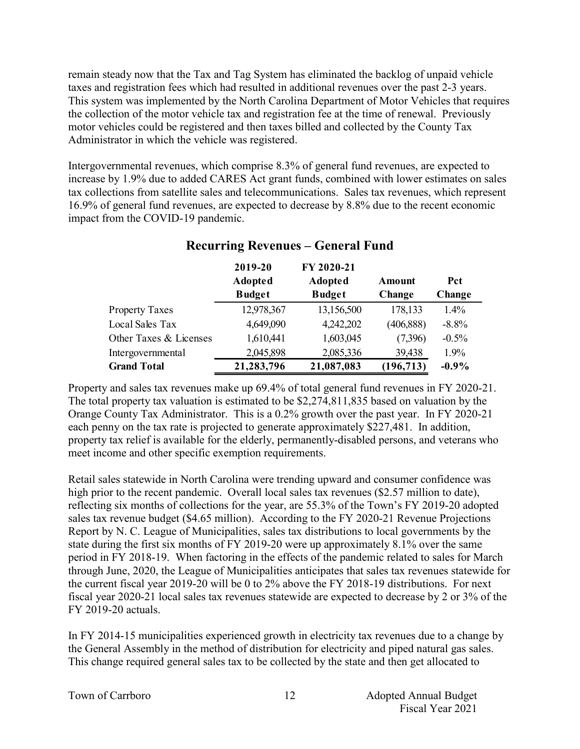remain steady now that the Tax and Tag System has eliminated the backlog of unpaid vehicle taxes and registration fees which had resulted in additional revenues over the past 2-3 years. This system was implemented by the North Carolina Department of Motor Vehicles that requires the collection of the motor vehicle tax and registration fee at the time of renewal. Previously motor vehicles could be registered and then taxes billed and collected by the County Tax Administrator in which the vehicle was registered.

Intergovernmental revenues, which comprise 8.3% of general fund revenues, are expected to increase by 1.9% due to added CARES Act grant funds, combined with lower estimates on sales tax collections from satellite sales and telecommunications. Sales tax revenues, which represent 16.9% of general fund revenues, are expected to decrease by 8.8% due to the recent economic impact from the COVID-19 pandemic.

|                        | 2019-20        | FY 2020-21     |            |         |
|------------------------|----------------|----------------|------------|---------|
|                        | <b>Adopted</b> | <b>Adopted</b> | Amount     | Pct     |
|                        | <b>Budget</b>  | <b>Budget</b>  | Change     | Change  |
| <b>Property Taxes</b>  | 12,978,367     | 13,156,500     | 178,133    | 1.4%    |
| Local Sales Tax        | 4,649,090      | 4,242,202      | (406, 888) | $-8.8%$ |
| Other Taxes & Licenses | 1,610,441      | 1,603,045      | (7,396)    | $-0.5%$ |
| Intergovernmental      | 2,045,898      | 2,085,336      | 39,438     | 1.9%    |
| <b>Grand Total</b>     | 21,283,796     | 21,087,083     | (196, 713) | $-0.9%$ |

# **Recurring Revenues – General Fund**

Property and sales tax revenues make up 69.4% of total general fund revenues in FY 2020-21. The total property tax valuation is estimated to be \$2,274,811,835 based on valuation by the Orange County Tax Administrator. This is a 0.2% growth over the past year. In FY 2020-21 each penny on the tax rate is projected to generate approximately \$227,481. In addition, property tax relief is available for the elderly, permanently-disabled persons, and veterans who meet income and other specific exemption requirements.

Retail sales statewide in North Carolina were trending upward and consumer confidence was high prior to the recent pandemic. Overall local sales tax revenues (\$2.57 million to date), reflecting six months of collections for the year, are 55.3% of the Town's FY 2019-20 adopted sales tax revenue budget (\$4.65 million). According to the FY 2020-21 Revenue Projections Report by N. C. League of Municipalities, sales tax distributions to local governments by the state during the first six months of FY 2019-20 were up approximately 8.1% over the same period in FY 2018-19. When factoring in the effects of the pandemic related to sales for March through June, 2020, the League of Municipalities anticipates that sales tax revenues statewide for the current fiscal year 2019-20 will be 0 to 2% above the FY 2018-19 distributions. For next fiscal year 2020-21 local sales tax revenues statewide are expected to decrease by 2 or 3% of the FY 2019-20 actuals.

In FY 2014-15 municipalities experienced growth in electricity tax revenues due to a change by the General Assembly in the method of distribution for electricity and piped natural gas sales. This change required general sales tax to be collected by the state and then get allocated to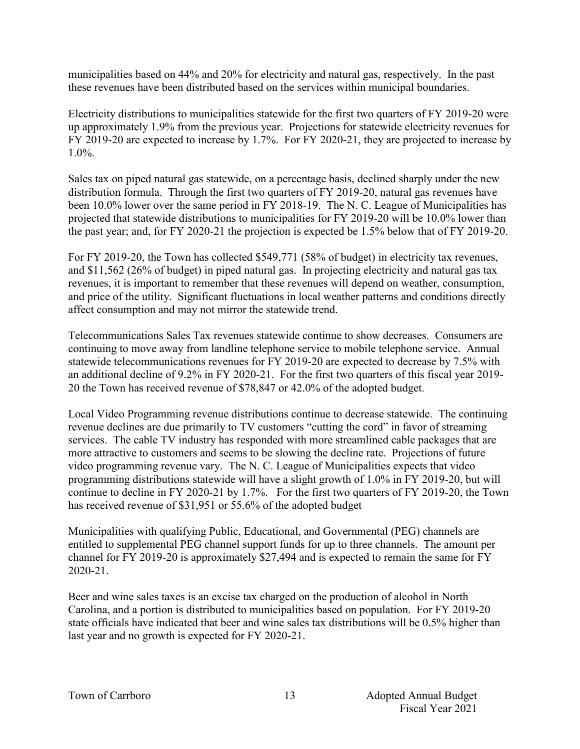municipalities based on 44% and 20% for electricity and natural gas, respectively. In the past these revenues have been distributed based on the services within municipal boundaries.

Electricity distributions to municipalities statewide for the first two quarters of FY 2019-20 were up approximately 1.9% from the previous year. Projections for statewide electricity revenues for FY 2019-20 are expected to increase by 1.7%. For FY 2020-21, they are projected to increase by 1.0%.

Sales tax on piped natural gas statewide, on a percentage basis, declined sharply under the new distribution formula. Through the first two quarters of FY 2019-20, natural gas revenues have been 10.0% lower over the same period in FY 2018-19. The N. C. League of Municipalities has projected that statewide distributions to municipalities for FY 2019-20 will be 10.0% lower than the past year; and, for FY 2020-21 the projection is expected be 1.5% below that of FY 2019-20.

For FY 2019-20, the Town has collected \$549,771 (58% of budget) in electricity tax revenues, and \$11,562 (26% of budget) in piped natural gas. In projecting electricity and natural gas tax revenues, it is important to remember that these revenues will depend on weather, consumption, and price of the utility. Significant fluctuations in local weather patterns and conditions directly affect consumption and may not mirror the statewide trend.

Telecommunications Sales Tax revenues statewide continue to show decreases. Consumers are continuing to move away from landline telephone service to mobile telephone service. Annual statewide telecommunications revenues for FY 2019-20 are expected to decrease by 7.5% with an additional decline of 9.2% in FY 2020-21. For the first two quarters of this fiscal year 2019- 20 the Town has received revenue of \$78,847 or 42.0% of the adopted budget.

Local Video Programming revenue distributions continue to decrease statewide. The continuing revenue declines are due primarily to TV customers "cutting the cord" in favor of streaming services. The cable TV industry has responded with more streamlined cable packages that are more attractive to customers and seems to be slowing the decline rate. Projections of future video programming revenue vary. The N. C. League of Municipalities expects that video programming distributions statewide will have a slight growth of 1.0% in FY 2019-20, but will continue to decline in FY 2020-21 by 1.7%. For the first two quarters of FY 2019-20, the Town has received revenue of \$31,951 or 55.6% of the adopted budget

Municipalities with qualifying Public, Educational, and Governmental (PEG) channels are entitled to supplemental PEG channel support funds for up to three channels. The amount per channel for FY 2019-20 is approximately \$27,494 and is expected to remain the same for FY 2020-21.

Beer and wine sales taxes is an excise tax charged on the production of alcohol in North Carolina, and a portion is distributed to municipalities based on population. For FY 2019-20 state officials have indicated that beer and wine sales tax distributions will be 0.5% higher than last year and no growth is expected for FY 2020-21.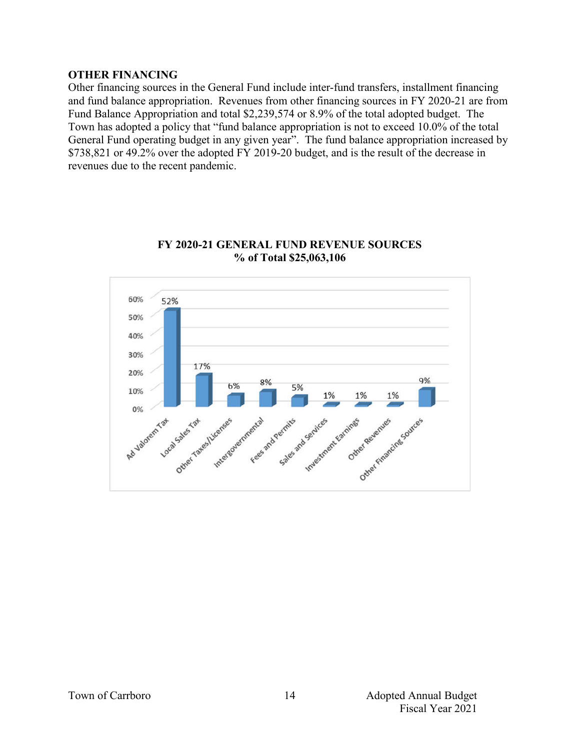### **OTHER FINANCING**

Other financing sources in the General Fund include inter-fund transfers, installment financing and fund balance appropriation. Revenues from other financing sources in FY 2020-21 are from Fund Balance Appropriation and total \$2,239,574 or 8.9% of the total adopted budget. The Town has adopted a policy that "fund balance appropriation is not to exceed 10.0% of the total General Fund operating budget in any given year". The fund balance appropriation increased by \$738,821 or 49.2% over the adopted FY 2019-20 budget, and is the result of the decrease in revenues due to the recent pandemic.



# **FY 2020-21 GENERAL FUND REVENUE SOURCES % of Total \$25,063,106**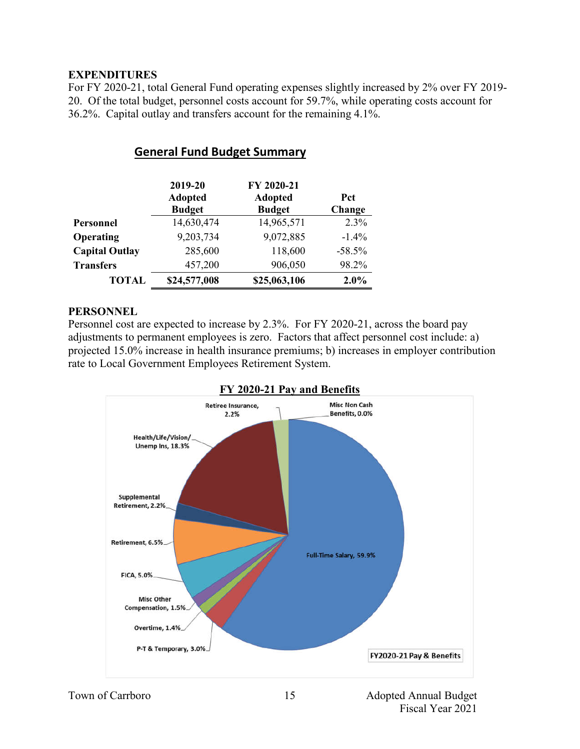# **EXPENDITURES**

For FY 2020-21, total General Fund operating expenses slightly increased by 2% over FY 2019- 20. Of the total budget, personnel costs account for 59.7%, while operating costs account for 36.2%. Capital outlay and transfers account for the remaining 4.1%.

|                       | 2019-20<br><b>Adopted</b><br><b>Budget</b> | FY 2020-21<br><b>Adopted</b><br><b>Budget</b> | <b>Pct</b><br>Change |
|-----------------------|--------------------------------------------|-----------------------------------------------|----------------------|
| <b>Personnel</b>      | 14,630,474                                 | 14,965,571                                    | 2.3%                 |
| Operating             | 9,203,734                                  | 9,072,885                                     | $-1.4\%$             |
| <b>Capital Outlay</b> | 285,600                                    | 118,600                                       | $-58.5%$             |
| <b>Transfers</b>      | 457,200                                    | 906,050                                       | 98.2%                |
| <b>TOTAL</b>          | \$24,577,008                               | \$25,063,106                                  | 2.0%                 |

# **General Fund Budget Summary**

### **PERSONNEL**

Personnel cost are expected to increase by 2.3%. For FY 2020-21, across the board pay adjustments to permanent employees is zero. Factors that affect personnel cost include: a) projected 15.0% increase in health insurance premiums; b) increases in employer contribution rate to Local Government Employees Retirement System.



# **FY 2020-21 Pay and Benefits**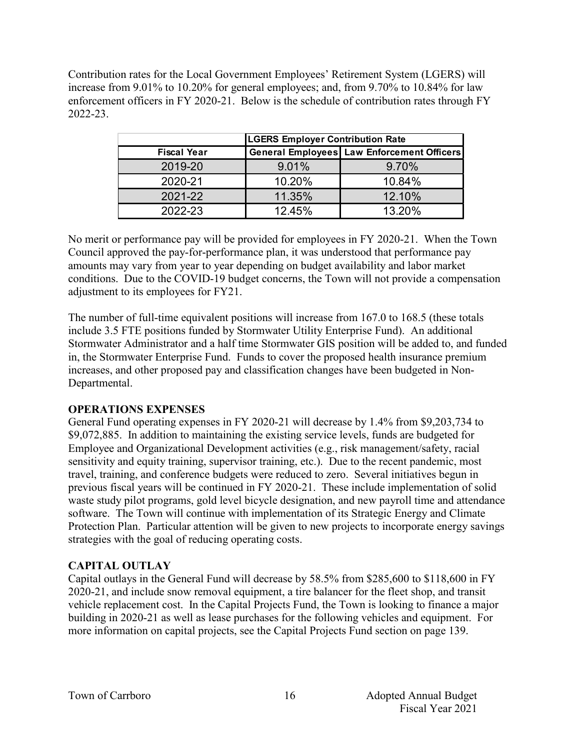Contribution rates for the Local Government Employees' Retirement System (LGERS) will increase from 9.01% to 10.20% for general employees; and, from 9.70% to 10.84% for law enforcement officers in FY 2020-21. Below is the schedule of contribution rates through FY 2022-23.

|                    | <b>LGERS Employer Contribution Rate</b> |                                                   |  |  |  |  |  |
|--------------------|-----------------------------------------|---------------------------------------------------|--|--|--|--|--|
| <b>Fiscal Year</b> |                                         | <b>General Employees Law Enforcement Officers</b> |  |  |  |  |  |
| 2019-20            | 9.01%                                   | 9.70%                                             |  |  |  |  |  |
| 2020-21            | 10.20%                                  | 10.84%                                            |  |  |  |  |  |
| 2021-22            | 11.35%                                  | 12.10%                                            |  |  |  |  |  |
| 2022-23            | 12.45%                                  | 13.20%                                            |  |  |  |  |  |

No merit or performance pay will be provided for employees in FY 2020-21. When the Town Council approved the pay-for-performance plan, it was understood that performance pay amounts may vary from year to year depending on budget availability and labor market conditions. Due to the COVID-19 budget concerns, the Town will not provide a compensation adjustment to its employees for FY21.

The number of full-time equivalent positions will increase from 167.0 to 168.5 (these totals include 3.5 FTE positions funded by Stormwater Utility Enterprise Fund). An additional Stormwater Administrator and a half time Stormwater GIS position will be added to, and funded in, the Stormwater Enterprise Fund. Funds to cover the proposed health insurance premium increases, and other proposed pay and classification changes have been budgeted in Non-Departmental.

# **OPERATIONS EXPENSES**

General Fund operating expenses in FY 2020-21 will decrease by 1.4% from \$9,203,734 to \$9,072,885. In addition to maintaining the existing service levels, funds are budgeted for Employee and Organizational Development activities (e.g., risk management/safety, racial sensitivity and equity training, supervisor training, etc.). Due to the recent pandemic, most travel, training, and conference budgets were reduced to zero. Several initiatives begun in previous fiscal years will be continued in FY 2020-21. These include implementation of solid waste study pilot programs, gold level bicycle designation, and new payroll time and attendance software. The Town will continue with implementation of its Strategic Energy and Climate Protection Plan. Particular attention will be given to new projects to incorporate energy savings strategies with the goal of reducing operating costs.

# **CAPITAL OUTLAY**

Capital outlays in the General Fund will decrease by 58.5% from \$285,600 to \$118,600 in FY 2020-21, and include snow removal equipment, a tire balancer for the fleet shop, and transit vehicle replacement cost. In the Capital Projects Fund, the Town is looking to finance a major building in 2020-21 as well as lease purchases for the following vehicles and equipment. For more information on capital projects, see the Capital Projects Fund section on page 139.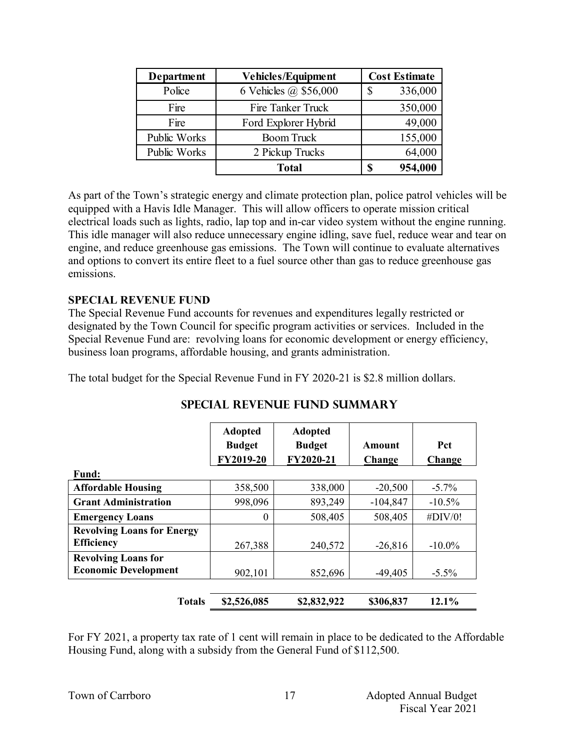| Department   | <b>Vehicles/Equipment</b> | <b>Cost Estimate</b> |         |
|--------------|---------------------------|----------------------|---------|
| Police       | 6 Vehicles @ \$56,000     | S                    | 336,000 |
| Fire         | Fire Tanker Truck         |                      | 350,000 |
| Fire         | Ford Explorer Hybrid      |                      | 49,000  |
| Public Works | <b>Boom Truck</b>         |                      | 155,000 |
| Public Works | 2 Pickup Trucks           | 64,000               |         |
|              | <b>Total</b>              |                      | 954,000 |

As part of the Town's strategic energy and climate protection plan, police patrol vehicles will be equipped with a Havis Idle Manager. This will allow officers to operate mission critical electrical loads such as lights, radio, lap top and in-car video system without the engine running. This idle manager will also reduce unnecessary engine idling, save fuel, reduce wear and tear on engine, and reduce greenhouse gas emissions. The Town will continue to evaluate alternatives and options to convert its entire fleet to a fuel source other than gas to reduce greenhouse gas emissions.

# **SPECIAL REVENUE FUND**

The Special Revenue Fund accounts for revenues and expenditures legally restricted or designated by the Town Council for specific program activities or services. Included in the Special Revenue Fund are: revolving loans for economic development or energy efficiency, business loan programs, affordable housing, and grants administration.

The total budget for the Special Revenue Fund in FY 2020-21 is \$2.8 million dollars.

|                                   | <b>Adopted</b><br><b>Budget</b><br>FY2019-20 | <b>Adopted</b><br><b>Budget</b><br>FY2020-21 | Amount<br>Change | <b>Pct</b><br>Change |
|-----------------------------------|----------------------------------------------|----------------------------------------------|------------------|----------------------|
| <b>Fund:</b>                      |                                              |                                              |                  |                      |
| <b>Affordable Housing</b>         | 358,500                                      | 338,000                                      | $-20,500$        | $-5.7\%$             |
| <b>Grant Administration</b>       | 998,096                                      | 893,249                                      | $-104,847$       | $-10.5\%$            |
| <b>Emergency Loans</b>            | $\theta$                                     | 508,405                                      | 508,405          | $\#$ DIV/0!          |
| <b>Revolving Loans for Energy</b> |                                              |                                              |                  |                      |
| <b>Efficiency</b>                 | 267,388                                      | 240,572                                      | $-26,816$        | $-10.0\%$            |
| <b>Revolving Loans for</b>        |                                              |                                              |                  |                      |
| <b>Economic Development</b>       | 902,101                                      | 852,696                                      | $-49,405$        | $-5.5\%$             |
| <b>Totals</b>                     | \$2,526,085                                  | \$2,832,922                                  | \$306,837        | 12.1%                |

# **SPECIAL REVENUE FUND SUMMARY**

For FY 2021, a property tax rate of 1 cent will remain in place to be dedicated to the Affordable Housing Fund, along with a subsidy from the General Fund of \$112,500.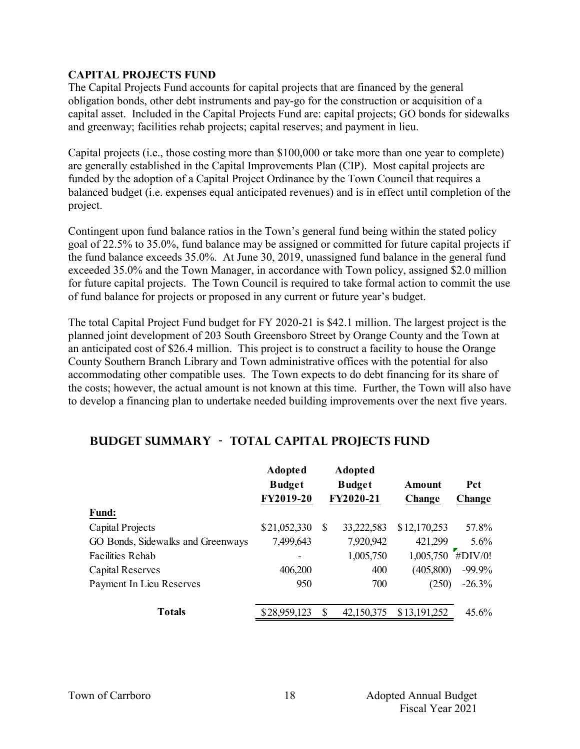# **CAPITAL PROJECTS FUND**

The Capital Projects Fund accounts for capital projects that are financed by the general obligation bonds, other debt instruments and pay-go for the construction or acquisition of a capital asset. Included in the Capital Projects Fund are: capital projects; GO bonds for sidewalks and greenway; facilities rehab projects; capital reserves; and payment in lieu.

Capital projects (i.e., those costing more than \$100,000 or take more than one year to complete) are generally established in the Capital Improvements Plan (CIP). Most capital projects are funded by the adoption of a Capital Project Ordinance by the Town Council that requires a balanced budget (i.e. expenses equal anticipated revenues) and is in effect until completion of the project.

Contingent upon fund balance ratios in the Town's general fund being within the stated policy goal of 22.5% to 35.0%, fund balance may be assigned or committed for future capital projects if the fund balance exceeds 35.0%. At June 30, 2019, unassigned fund balance in the general fund exceeded 35.0% and the Town Manager, in accordance with Town policy, assigned \$2.0 million for future capital projects. The Town Council is required to take formal action to commit the use of fund balance for projects or proposed in any current or future year's budget.

The total Capital Project Fund budget for FY 2020-21 is \$42.1 million. The largest project is the planned joint development of 203 South Greensboro Street by Orange County and the Town at an anticipated cost of \$26.4 million. This project is to construct a facility to house the Orange County Southern Branch Library and Town administrative offices with the potential for also accommodating other compatible uses. The Town expects to do debt financing for its share of the costs; however, the actual amount is not known at this time. Further, the Town will also have to develop a financing plan to undertake needed building improvements over the next five years.

|                                   | <b>Adopted</b><br><b>Budget</b><br>FY2019-20 |   | <b>Adopted</b><br><b>Budget</b><br>FY2020-21 | Amount<br>Change | <b>Pct</b><br>Change |
|-----------------------------------|----------------------------------------------|---|----------------------------------------------|------------------|----------------------|
| <b>Fund:</b>                      |                                              |   |                                              |                  |                      |
| Capital Projects                  | \$21,052,330                                 | S | 33,222,583                                   | \$12,170,253     | 57.8%                |
| GO Bonds, Sidewalks and Greenways | 7,499,643                                    |   | 7,920,942                                    | 421,299          | 5.6%                 |
| <b>Facilities Rehab</b>           |                                              |   | 1,005,750                                    | 1,005,750        | H <sub>H</sub> (1)   |
| Capital Reserves                  | 406,200                                      |   | 400                                          | (405,800)        | $-99.9\%$            |
| Payment In Lieu Reserves          | 950                                          |   | 700                                          | (250)            | $-26.3%$             |
| <b>Totals</b>                     | \$28,959,123                                 | S | 42,150,375                                   | \$13,191,252     | $45.6\%$             |

# **Budget Summary - Total CAPITAL PROJECTS FUND**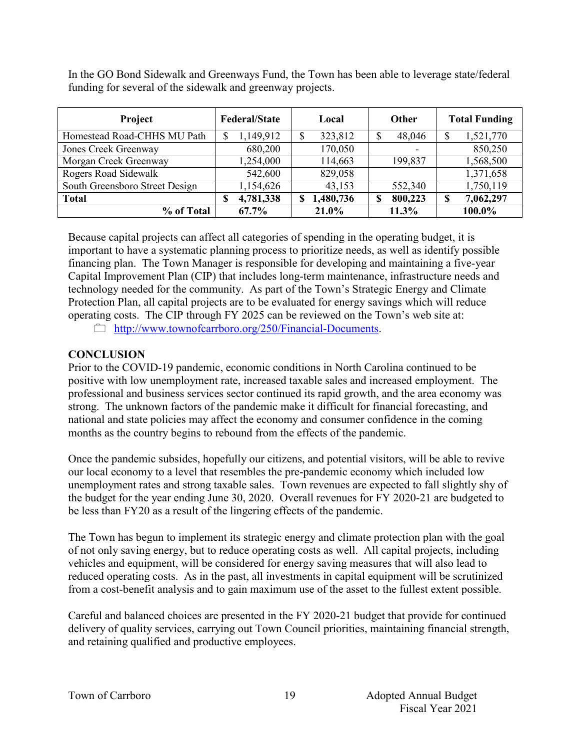In the GO Bond Sidewalk and Greenways Fund, the Town has been able to leverage state/federal funding for several of the sidewalk and greenway projects.

| Project                        | <b>Federal/State</b> | Local     | <b>Other</b> | <b>Total Funding</b> |
|--------------------------------|----------------------|-----------|--------------|----------------------|
| Homestead Road-CHHS MU Path    | 1,149,912            | 323,812   | 48,046       | 1,521,770<br>S       |
| Jones Creek Greenway           | 680,200              | 170,050   |              | 850,250              |
| Morgan Creek Greenway          | 1,254,000            | 114,663   | 199,837      | 1,568,500            |
| Rogers Road Sidewalk           | 542,600              | 829,058   |              | 1,371,658            |
| South Greensboro Street Design | 1,154,626            | 43,153    | 552,340      | 1,750,119            |
| <b>Total</b>                   | 4,781,338            | 1,480,736 | 800,223      | 7,062,297<br>S       |
| % of Total                     | $67.7\%$             | 21.0%     | 11.3%        | 100.0%               |

Because capital projects can affect all categories of spending in the operating budget, it is important to have a systematic planning process to prioritize needs, as well as identify possible financing plan. The Town Manager is responsible for developing and maintaining a five-year Capital Improvement Plan (CIP) that includes long-term maintenance, infrastructure needs and technology needed for the community. As part of the Town's Strategic Energy and Climate Protection Plan, all capital projects are to be evaluated for energy savings which will reduce operating costs. The CIP through FY 2025 can be reviewed on the Town's web site at: http://www.townofcarrboro.org/250/Financial-Documents.

# **CONCLUSION**

Prior to the COVID-19 pandemic, economic conditions in North Carolina continued to be positive with low unemployment rate, increased taxable sales and increased employment. The professional and business services sector continued its rapid growth, and the area economy was strong. The unknown factors of the pandemic make it difficult for financial forecasting, and national and state policies may affect the economy and consumer confidence in the coming months as the country begins to rebound from the effects of the pandemic.

Once the pandemic subsides, hopefully our citizens, and potential visitors, will be able to revive our local economy to a level that resembles the pre-pandemic economy which included low unemployment rates and strong taxable sales. Town revenues are expected to fall slightly shy of the budget for the year ending June 30, 2020. Overall revenues for FY 2020-21 are budgeted to be less than FY20 as a result of the lingering effects of the pandemic.

The Town has begun to implement its strategic energy and climate protection plan with the goal of not only saving energy, but to reduce operating costs as well. All capital projects, including vehicles and equipment, will be considered for energy saving measures that will also lead to reduced operating costs. As in the past, all investments in capital equipment will be scrutinized from a cost-benefit analysis and to gain maximum use of the asset to the fullest extent possible.

Careful and balanced choices are presented in the FY 2020-21 budget that provide for continued delivery of quality services, carrying out Town Council priorities, maintaining financial strength, and retaining qualified and productive employees.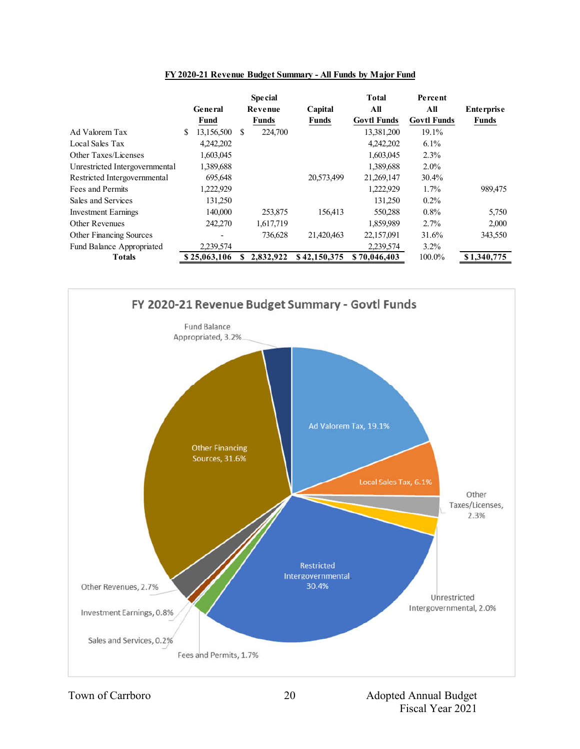|                                |                  | <b>Special</b> |              | <b>Total</b>       | Percent            |                   |
|--------------------------------|------------------|----------------|--------------|--------------------|--------------------|-------------------|
|                                | General          | Revenue        | Capital      | All                | All                | <b>Enterprise</b> |
|                                | Fund             | <b>Funds</b>   | <b>Funds</b> | <b>Govtl Funds</b> | <b>Govtl Funds</b> | <b>Funds</b>      |
| Ad Valorem Tax                 | 13,156,500<br>S. | 224,700<br>\$. |              | 13,381,200         | 19.1%              |                   |
| Local Sales Tax                | 4,242,202        |                |              | 4,242,202          | $6.1\%$            |                   |
| Other Taxes/Licenses           | 1,603,045        |                |              | 1,603,045          | 2.3%               |                   |
| Unrestricted Intergovernmental | 1,389,688        |                |              | 1,389,688          | $2.0\%$            |                   |
| Restricted Intergovernmental   | 695,648          |                | 20,573,499   | 21,269,147         | 30.4%              |                   |
| Fees and Permits               | .222,929         |                |              | 1,222,929          | $1.7\%$            | 989,475           |
| Sales and Services             | 131,250          |                |              | 131,250            | $0.2\%$            |                   |
| <b>Investment Earnings</b>     | 140,000          | 253,875        | 156,413      | 550,288            | $0.8\%$            | 5,750             |
| <b>Other Revenues</b>          | 242,270          | 1,617,719      |              | 1,859,989          | 2.7%               | 2,000             |
| <b>Other Financing Sources</b> |                  | 736,628        | 21,420,463   | 22,157,091         | 31.6%              | 343,550           |
| Fund Balance Appropriated      | 2,239,574        |                |              | 2,239,574          | $3.2\%$            |                   |
| <b>Totals</b>                  | \$25,063,106     | 2,832,922      | \$42,150,375 | \$70,046,403       | 100.0%             | \$1,340,775       |

#### **FY 2020-21 Revenue Budget Summary - All Funds by Major Fund**

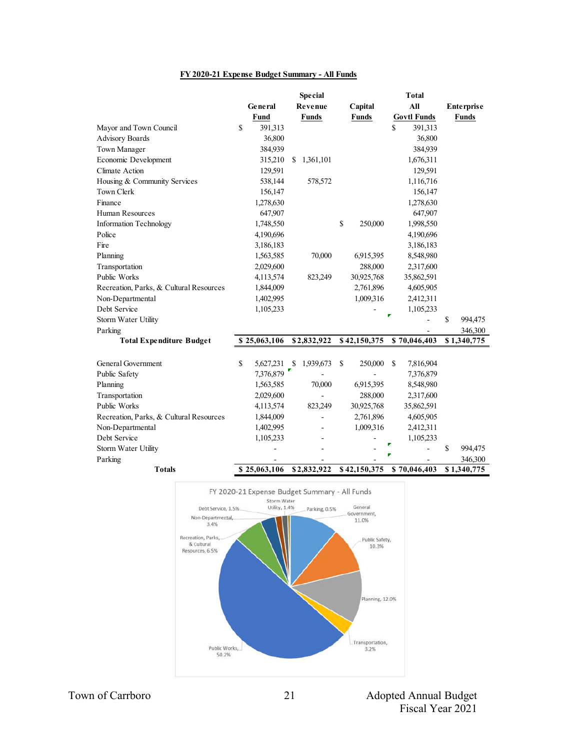#### **FY 2020-21 Expense Budget Summary - All Funds**

|                                         | <b>Special</b>  |               |                          | <b>Total</b>  |              |             |                    |                   |
|-----------------------------------------|-----------------|---------------|--------------------------|---------------|--------------|-------------|--------------------|-------------------|
|                                         | General         |               | Revenue                  |               | Capital      |             | All                | <b>Enterprise</b> |
|                                         | Fund            |               | <b>Funds</b>             |               | <b>Funds</b> |             | <b>Govtl Funds</b> | <b>Funds</b>      |
| Mayor and Town Council                  | \$<br>391,313   |               |                          |               |              | \$          | 391,313            |                   |
| Advisory Boards                         | 36,800          |               |                          |               |              |             | 36,800             |                   |
| Town Manager                            | 384,939         |               |                          |               |              |             | 384,939            |                   |
| Economic Development                    | 315,210         | <sup>\$</sup> | 1,361,101                |               |              |             | 1,676,311          |                   |
| Climate Action                          | 129,591         |               |                          |               |              |             | 129,591            |                   |
| Housing & Community Services            | 538,144         |               | 578,572                  |               |              |             | 1,116,716          |                   |
| Town Clerk                              | 156,147         |               |                          |               |              |             | 156,147            |                   |
| Finance                                 | 1,278,630       |               |                          |               |              |             | 1,278,630          |                   |
| Human Resources                         | 647,907         |               |                          |               |              |             | 647,907            |                   |
| <b>Information Technology</b>           | 1,748,550       |               |                          | \$            | 250,000      |             | 1,998,550          |                   |
| Police                                  | 4,190,696       |               |                          |               |              |             | 4,190,696          |                   |
| Fire                                    | 3,186,183       |               |                          |               |              |             | 3,186,183          |                   |
| Planning                                | 1,563,585       |               | 70,000                   |               | 6,915,395    |             | 8,548,980          |                   |
| Transportation                          | 2,029,600       |               |                          |               | 288,000      |             | 2,317,600          |                   |
| Public Works                            | 4,113,574       |               | 823,249                  |               | 30,925,768   |             | 35,862,591         |                   |
| Recreation, Parks, & Cultural Resources | 1,844,009       |               |                          |               | 2,761,896    |             | 4,605,905          |                   |
| Non-Departmental                        | 1,402,995       |               |                          |               | 1,009,316    |             | 2,412,311          |                   |
| Debt Service                            | 1,105,233       |               |                          |               |              |             | 1,105,233          |                   |
| Storm Water Utility                     |                 |               |                          |               |              |             |                    | \$<br>994,475     |
| Parking                                 |                 |               |                          |               |              |             |                    | 346,300           |
| <b>Total Expenditure Budget</b>         | \$25,063,106    |               | \$2,832,922              |               | \$42,150,375 |             | \$70,046,403       | \$1,340,775       |
|                                         |                 |               |                          |               |              |             |                    |                   |
| General Government                      | \$<br>5,627,231 | <sup>\$</sup> | 1,939,673                | $\mathbf{\$}$ | 250,000      | $\mathbf S$ | 7,816,904          |                   |
| Public Safety                           | 7,376,879       |               |                          |               |              |             | 7,376,879          |                   |
| Planning                                | 1,563,585       |               | 70,000                   |               | 6,915,395    |             | 8,548,980          |                   |
| Transportation                          | 2,029,600       |               |                          |               | 288,000      |             | 2,317,600          |                   |
| Public Works                            | 4,113,574       |               | 823,249                  |               | 30,925,768   |             | 35,862,591         |                   |
| Recreation, Parks, & Cultural Resources | 1,844,009       |               |                          |               | 2,761,896    |             | 4,605,905          |                   |
| Non-Departmental                        | 1,402,995       |               |                          |               | 1,009,316    |             | 2,412,311          |                   |
| Debt Service                            | 1,105,233       |               |                          |               |              |             | 1,105,233          |                   |
| Storm Water Utility                     |                 |               | $\overline{\phantom{a}}$ |               |              |             |                    | \$<br>994,475     |
| Parking                                 |                 |               |                          |               |              |             |                    | 346,300           |
| <b>Totals</b>                           | \$25,063,106    |               | \$2,832,922              |               | \$42,150,375 |             | \$70,046,403       | \$1,340,775       |

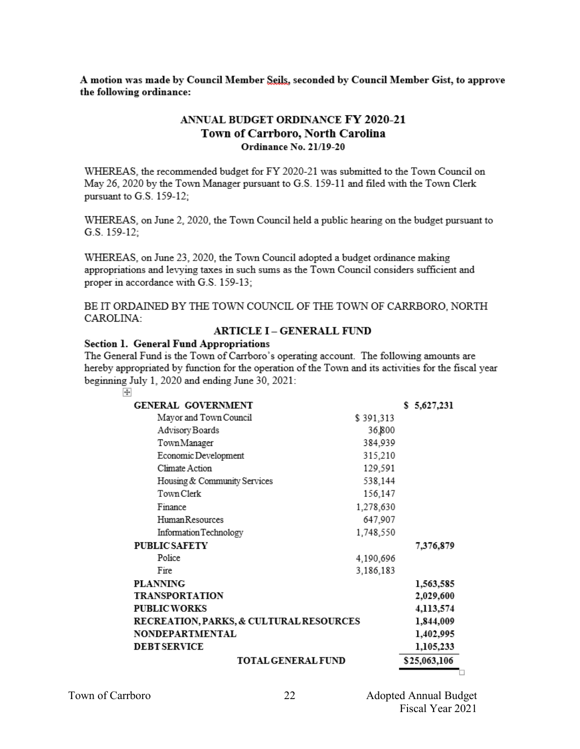A motion was made by Council Member Seils, seconded by Council Member Gist, to approve the following ordinance:

# ANNUAL BUDGET ORDINANCE FY 2020-21 Town of Carrboro, North Carolina Ordinance No. 21/19-20

WHEREAS, the recommended budget for FY 2020-21 was submitted to the Town Council on May 26, 2020 by the Town Manager pursuant to G.S. 159-11 and filed with the Town Clerk pursuant to G.S. 159-12;

WHEREAS, on June 2, 2020, the Town Council held a public hearing on the budget pursuant to G.S. 159-12:

WHEREAS, on June 23, 2020, the Town Council adopted a budget ordinance making appropriations and levying taxes in such sums as the Town Council considers sufficient and proper in accordance with G.S. 159-13:

BE IT ORDAINED BY THE TOWN COUNCIL OF THE TOWN OF CARRBORO, NORTH CAROLINA:

### **ARTICLE I - GENERALL FUND**

### **Section 1. General Fund Appropriations**

The General Fund is the Town of Carrboro's operating account. The following amounts are hereby appropriated by function for the operation of the Town and its activities for the fiscal year beginning July 1, 2020 and ending June 30, 2021:

| $\overline{+}$                                     |           |              |
|----------------------------------------------------|-----------|--------------|
| <b>GENERAL GOVERNMENT</b>                          |           | \$5,627,231  |
| Mayor and Town Council                             | \$391,313 |              |
| Advisory Boards                                    | 36,800    |              |
| TownManager                                        | 384,939   |              |
| Economic Development                               | 315,210   |              |
| Climate Action                                     | 129,591   |              |
| Housing & Community Services                       | 538,144   |              |
| Town Clerk                                         | 156,147   |              |
| Finance                                            | 1,278,630 |              |
| Human Resources                                    | 647,907   |              |
| Information Technology                             | 1,748,550 |              |
| <b>PUBLIC SAFETY</b>                               |           | 7,376,879    |
| Police                                             | 4,190,696 |              |
| Fire                                               | 3,186,183 |              |
| PLANNING                                           |           | 1,563,585    |
| <b>TRANSPORTATION</b>                              |           | 2,029,600    |
| <b>PUBLIC WORKS</b>                                |           | 4,113,574    |
| <b>RECREATION, PARKS, &amp; CULTURAL RESOURCES</b> | 1,844,009 |              |
| NONDEPARTMENTAL                                    |           | 1,402,995    |
| <b>DEBT SERVICE</b>                                |           | 1,105,233    |
| <b>TOTAL GENERAL FUND</b>                          |           | \$25,063,106 |

b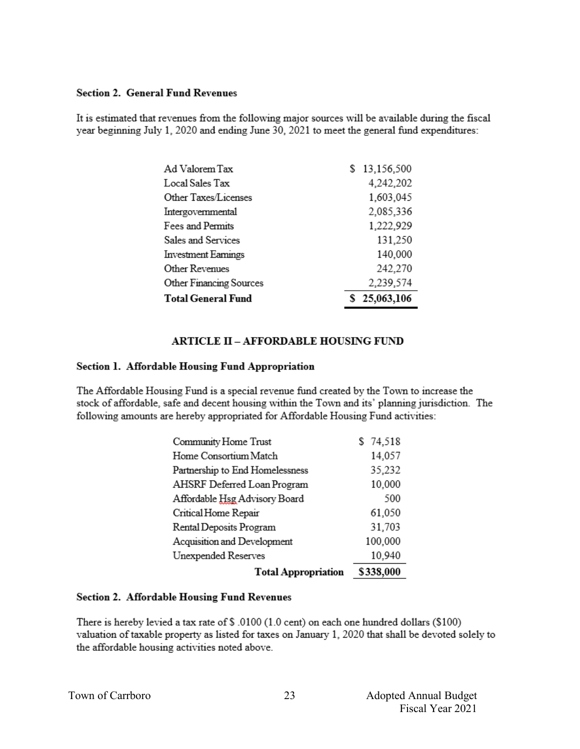### **Section 2. General Fund Revenues**

It is estimated that revenues from the following major sources will be available during the fiscal year beginning July 1, 2020 and ending June 30, 2021 to meet the general fund expenditures:

| Ad Valorem Tax                 | s | 13,156,500   |
|--------------------------------|---|--------------|
| Local Sales Tax                |   | 4,242,202    |
| Other Taxes/Licenses           |   | 1,603,045    |
| Intergovernmental              |   | 2,085,336    |
| Fees and Permits               |   | 1,222,929    |
| Sales and Services             |   | 131,250      |
| <b>Investment Earnings</b>     |   | 140,000      |
| Other Revenues                 |   | 242,270      |
| <b>Other Financing Sources</b> |   | 2,239,574    |
| <b>Total General Fund</b>      |   | \$25,063,106 |

# **ARTICLE II - AFFORDABLE HOUSING FUND**

### Section 1. Affordable Housing Fund Appropriation

The Affordable Housing Fund is a special revenue fund created by the Town to increase the stock of affordable, safe and decent housing within the Town and its' planning jurisdiction. The following amounts are hereby appropriated for Affordable Housing Fund activities:

| Community Home Trust            | \$74,518  |
|---------------------------------|-----------|
| Home Consortium Match           | 14,057    |
| Partnership to End Homelessness | 35,232    |
| AHSRF Deferred Loan Program     | 10,000    |
| Affordable Hsg Advisory Board   | 500       |
| Critical Home Repair            | 61,050    |
| Rental Deposits Program         | 31,703    |
| Acquisition and Development     | 100,000   |
| Unexpended Reserves             | 10,940    |
| <b>Total Appropriation</b>      | \$338,000 |

### **Section 2. Affordable Housing Fund Revenues**

There is hereby levied a tax rate of \$ .0100 (1.0 cent) on each one hundred dollars (\$100) valuation of taxable property as listed for taxes on January 1, 2020 that shall be devoted solely to the affordable housing activities noted above.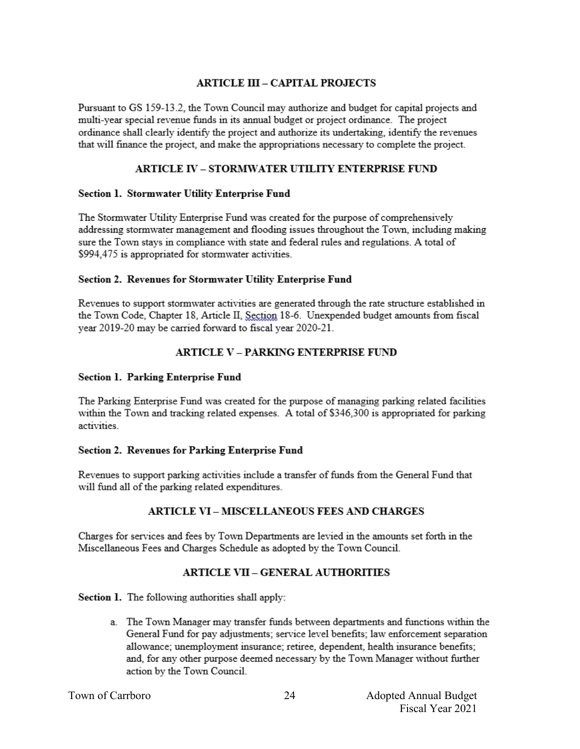# **ARTICLE III - CAPITAL PROJECTS**

Pursuant to GS 159-13.2, the Town Council may authorize and budget for capital projects and multi-year special revenue funds in its annual budget or project ordinance. The project ordinance shall clearly identify the project and authorize its undertaking, identify the revenues that will finance the project, and make the appropriations necessary to complete the project.

# ARTICLE IV - STORMWATER UTILITY ENTERPRISE FUND

### Section 1. Stormwater Utility Enterprise Fund

The Stormwater Utility Enterprise Fund was created for the purpose of comprehensively addressing stormwater management and flooding issues throughout the Town, including making sure the Town stays in compliance with state and federal rules and regulations. A total of \$994,475 is appropriated for stormwater activities.

### Section 2. Revenues for Stormwater Utility Enterprise Fund

Revenues to support stormwater activities are generated through the rate structure established in the Town Code, Chapter 18, Article II, Section 18-6. Unexpended budget amounts from fiscal year 2019-20 may be carried forward to fiscal year 2020-21.

# **ARTICLE V - PARKING ENTERPRISE FUND**

### Section 1. Parking Enterprise Fund

The Parking Enterprise Fund was created for the purpose of managing parking related facilities within the Town and tracking related expenses. A total of \$346,300 is appropriated for parking activities

### Section 2. Revenues for Parking Enterprise Fund

Revenues to support parking activities include a transfer of funds from the General Fund that will fund all of the parking related expenditures.

### **ARTICLE VI - MISCELLANEOUS FEES AND CHARGES**

Charges for services and fees by Town Departments are levied in the amounts set forth in the Miscellaneous Fees and Charges Schedule as adopted by the Town Council.

# **ARTICLE VII - GENERAL AUTHORITIES**

Section 1. The following authorities shall apply:

a. The Town Manager may transfer funds between departments and functions within the General Fund for pay adjustments; service level benefits; law enforcement separation allowance: unemployment insurance: retiree, dependent, health insurance benefits: and, for any other purpose deemed necessary by the Town Manager without further action by the Town Council.

Town of Carrboro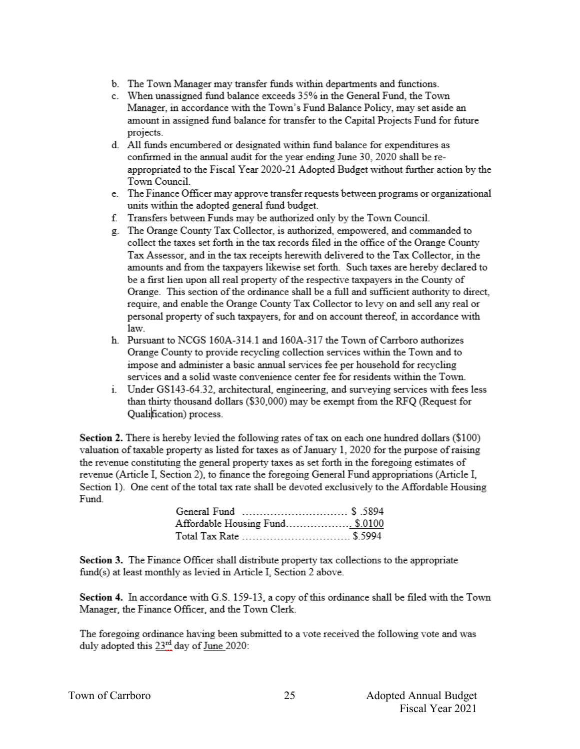- b. The Town Manager may transfer funds within departments and functions.
- c. When unassigned fund balance exceeds 35% in the General Fund, the Town Manager, in accordance with the Town's Fund Balance Policy, may set aside an amount in assigned fund balance for transfer to the Capital Projects Fund for future projects.
- d. All funds encumbered or designated within fund balance for expenditures as confirmed in the annual audit for the year ending June 30, 2020 shall be reappropriated to the Fiscal Year 2020-21 Adopted Budget without further action by the Town Council.
- e. The Finance Officer may approve transfer requests between programs or organizational units within the adopted general fund budget.
- f. Transfers between Funds may be authorized only by the Town Council.
- g. The Orange County Tax Collector, is authorized, empowered, and commanded to collect the taxes set forth in the tax records filed in the office of the Orange County Tax Assessor, and in the tax receipts herewith delivered to the Tax Collector, in the amounts and from the taxpayers likewise set forth. Such taxes are hereby declared to be a first lien upon all real property of the respective taxpayers in the County of Orange. This section of the ordinance shall be a full and sufficient authority to direct, require, and enable the Orange County Tax Collector to levy on and sell any real or personal property of such taxpayers, for and on account thereof, in accordance with law.
- h. Pursuant to NCGS 160A-314.1 and 160A-317 the Town of Carrboro authorizes Orange County to provide recycling collection services within the Town and to impose and administer a basic annual services fee per household for recycling services and a solid waste convenience center fee for residents within the Town.
- i. Under GS143-64.32, architectural, engineering, and surveying services with fees less than thirty thousand dollars (\$30,000) may be exempt from the RFQ (Request for Qualification) process.

Section 2. There is hereby levied the following rates of tax on each one hundred dollars (\$100) valuation of taxable property as listed for taxes as of January 1, 2020 for the purpose of raising the revenue constituting the general property taxes as set forth in the foregoing estimates of revenue (Article I, Section 2), to finance the foregoing General Fund appropriations (Article I, Section 1). One cent of the total tax rate shall be devoted exclusively to the Affordable Housing Fund.

| Affordable Housing Fund\$.0100 |  |
|--------------------------------|--|
| Total Tax Rate  \$.5994        |  |

Section 3. The Finance Officer shall distribute property tax collections to the appropriate fund(s) at least monthly as levied in Article I, Section 2 above.

Section 4. In accordance with G.S. 159-13, a copy of this ordinance shall be filed with the Town Manager, the Finance Officer, and the Town Clerk.

The foregoing ordinance having been submitted to a vote received the following vote and was duly adopted this 23<sup>rd</sup> day of June 2020: